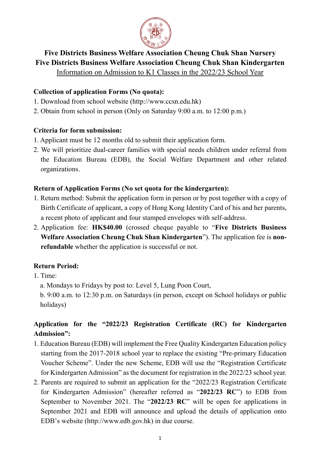

## **Five Districts Business Welfare Association Cheung Chuk Shan Nursery Five Districts Business Welfare Association Cheung Chuk Shan Kindergarten**

Information on Admission to K1 Classes in the 2022/23 School Year

### **Collection of application Forms (No quota):**

- 1. Download from school website (http://www.ccsn.edu.hk)
- 2. Obtain from school in person (Only on Saturday 9:00 a.m. to 12:00 p.m.)

## **Criteria for form submission:**

- 1. Applicant must be 12 months old to submit their application form.
- 2. We will prioritize dual-career families with special needs children under referral from the Education Bureau (EDB), the Social Welfare Department and other related organizations.

## **Return of Application Forms (No set quota for the kindergarten):**

- 1. Return method: Submit the application form in person or by post together with a copy of Birth Certificate of applicant, a copy of Hong Kong Identity Card of his and her parents, a recent photo of applicant and four stamped envelopes with self-address.
- 2. Application fee: **HK\$40.00** (crossed cheque payable to "**Five Districts Business Welfare Association Cheung Chuk Shan Kindergarten**"). The application fee is **nonrefundable** whether the application is successful or not.

## **Return Period:**

- 1. Time:
	- a. Mondays to Fridays by post to: Level 5, Lung Poon Court,
	- b. 9:00 a.m. to 12:30 p.m. on Saturdays (in person, except on School holidays or public holidays)

# **Application for the "2022/23 Registration Certificate (RC) for Kindergarten Admission":**

- 1. Education Bureau (EDB) will implement the Free Quality Kindergarten Education policy starting from the 2017-2018 school year to replace the existing "Pre-primary Education Voucher Scheme". Under the new Scheme, EDB will use the "Registration Certificate for Kindergarten Admission" as the document for registration in the 2022/23 school year.
- 2. Parents are required to submit an application for the "2022/23 Registration Certificate for Kindergarten Admission" (hereafter referred as "**2022/23 RC**") to EDB from September to November 2021. The "**2022/23 RC**" will be open for applications in September 2021 and EDB will announce and upload the details of application onto EDB's website (http://www.edb.gov.hk) in due course.